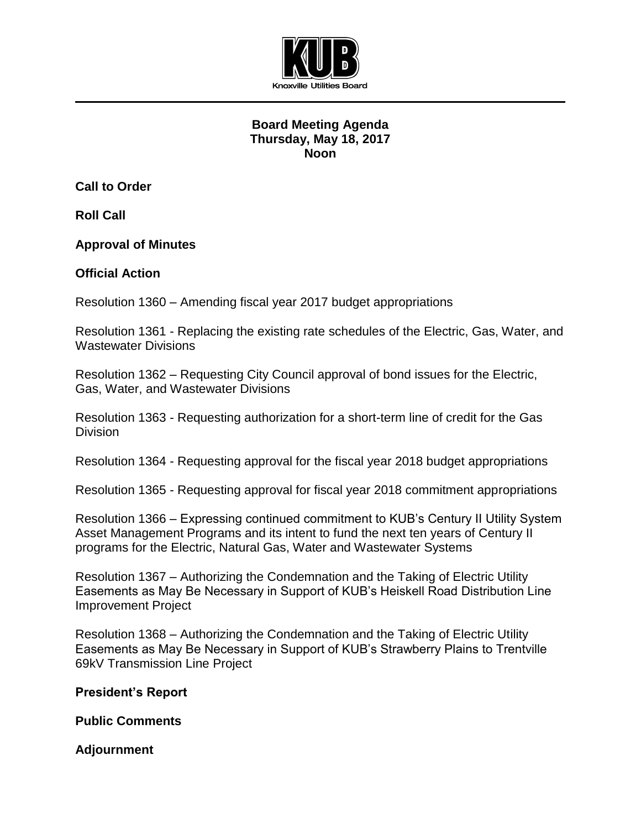

## **Board Meeting Agenda Thursday, May 18, 2017 Noon**

**Call to Order**

**Roll Call**

**Approval of Minutes**

## **Official Action**

Resolution 1360 – Amending fiscal year 2017 budget appropriations

Resolution 1361 - Replacing the existing rate schedules of the Electric, Gas, Water, and Wastewater Divisions

Resolution 1362 – Requesting City Council approval of bond issues for the Electric, Gas, Water, and Wastewater Divisions

Resolution 1363 - Requesting authorization for a short-term line of credit for the Gas Division

Resolution 1364 - Requesting approval for the fiscal year 2018 budget appropriations

Resolution 1365 - Requesting approval for fiscal year 2018 commitment appropriations

Resolution 1366 – Expressing continued commitment to KUB's Century II Utility System Asset Management Programs and its intent to fund the next ten years of Century II programs for the Electric, Natural Gas, Water and Wastewater Systems

Resolution 1367 – Authorizing the Condemnation and the Taking of Electric Utility Easements as May Be Necessary in Support of KUB's Heiskell Road Distribution Line Improvement Project

Resolution 1368 – Authorizing the Condemnation and the Taking of Electric Utility Easements as May Be Necessary in Support of KUB's Strawberry Plains to Trentville 69kV Transmission Line Project

**President's Report**

**Public Comments**

**Adjournment**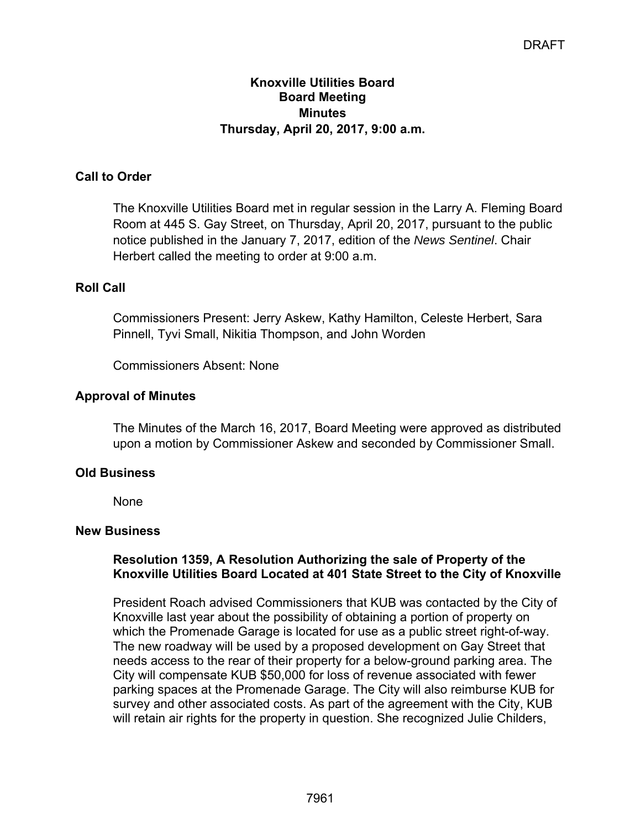#### **Knoxville Utilities Board Board Meeting Minutes Thursday, April 20, 2017, 9:00 a.m.**

## **Call to Order**

The Knoxville Utilities Board met in regular session in the Larry A. Fleming Board Room at 445 S. Gay Street, on Thursday, April 20, 2017, pursuant to the public notice published in the January 7, 2017, edition of the *News Sentinel*. Chair Herbert called the meeting to order at 9:00 a.m.

#### **Roll Call**

Commissioners Present: Jerry Askew, Kathy Hamilton, Celeste Herbert, Sara Pinnell, Tyvi Small, Nikitia Thompson, and John Worden

Commissioners Absent: None

#### **Approval of Minutes**

The Minutes of the March 16, 2017, Board Meeting were approved as distributed upon a motion by Commissioner Askew and seconded by Commissioner Small.

#### **Old Business**

None

#### **New Business**

#### **Resolution 1359, A Resolution Authorizing the sale of Property of the Knoxville Utilities Board Located at 401 State Street to the City of Knoxville**

President Roach advised Commissioners that KUB was contacted by the City of Knoxville last year about the possibility of obtaining a portion of property on which the Promenade Garage is located for use as a public street right-of-way. The new roadway will be used by a proposed development on Gay Street that needs access to the rear of their property for a below-ground parking area. The City will compensate KUB \$50,000 for loss of revenue associated with fewer parking spaces at the Promenade Garage. The City will also reimburse KUB for survey and other associated costs. As part of the agreement with the City, KUB will retain air rights for the property in question. She recognized Julie Childers,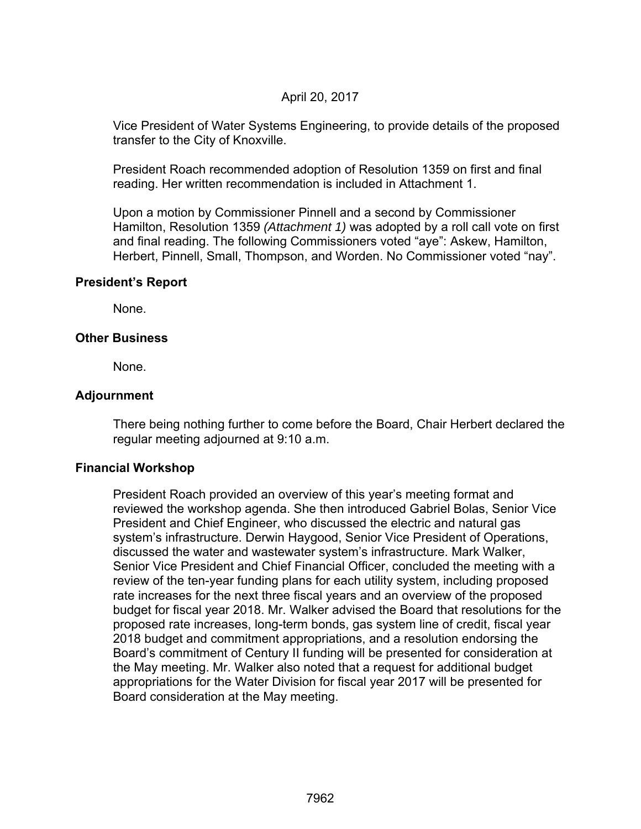#### April 20, 2017

Vice President of Water Systems Engineering, to provide details of the proposed transfer to the City of Knoxville.

President Roach recommended adoption of Resolution 1359 on first and final reading. Her written recommendation is included in Attachment 1.

Upon a motion by Commissioner Pinnell and a second by Commissioner Hamilton, Resolution 1359 *(Attachment 1)* was adopted by a roll call vote on first and final reading. The following Commissioners voted "aye": Askew, Hamilton, Herbert, Pinnell, Small, Thompson, and Worden. No Commissioner voted "nay".

#### **President's Report**

None.

#### **Other Business**

None.

#### **Adjournment**

There being nothing further to come before the Board, Chair Herbert declared the regular meeting adjourned at 9:10 a.m.

#### **Financial Workshop**

President Roach provided an overview of this year's meeting format and reviewed the workshop agenda. She then introduced Gabriel Bolas, Senior Vice President and Chief Engineer, who discussed the electric and natural gas system's infrastructure. Derwin Haygood, Senior Vice President of Operations, discussed the water and wastewater system's infrastructure. Mark Walker, Senior Vice President and Chief Financial Officer, concluded the meeting with a review of the ten-year funding plans for each utility system, including proposed rate increases for the next three fiscal years and an overview of the proposed budget for fiscal year 2018. Mr. Walker advised the Board that resolutions for the proposed rate increases, long-term bonds, gas system line of credit, fiscal year 2018 budget and commitment appropriations, and a resolution endorsing the Board's commitment of Century II funding will be presented for consideration at the May meeting. Mr. Walker also noted that a request for additional budget appropriations for the Water Division for fiscal year 2017 will be presented for Board consideration at the May meeting.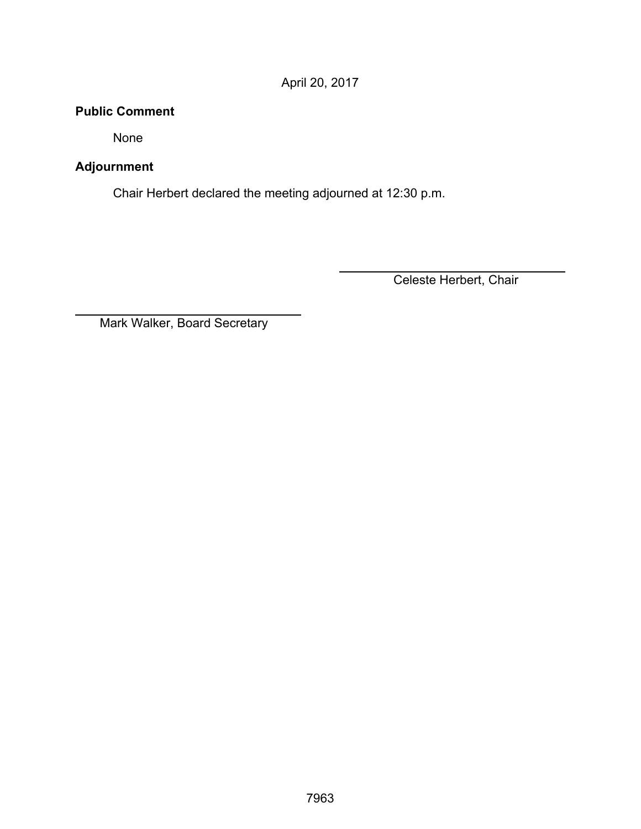April 20, 2017

# **Public Comment**

None

# **Adjournment**

 $\overline{a}$ 

Chair Herbert declared the meeting adjourned at 12:30 p.m.

Celeste Herbert, Chair

Mark Walker, Board Secretary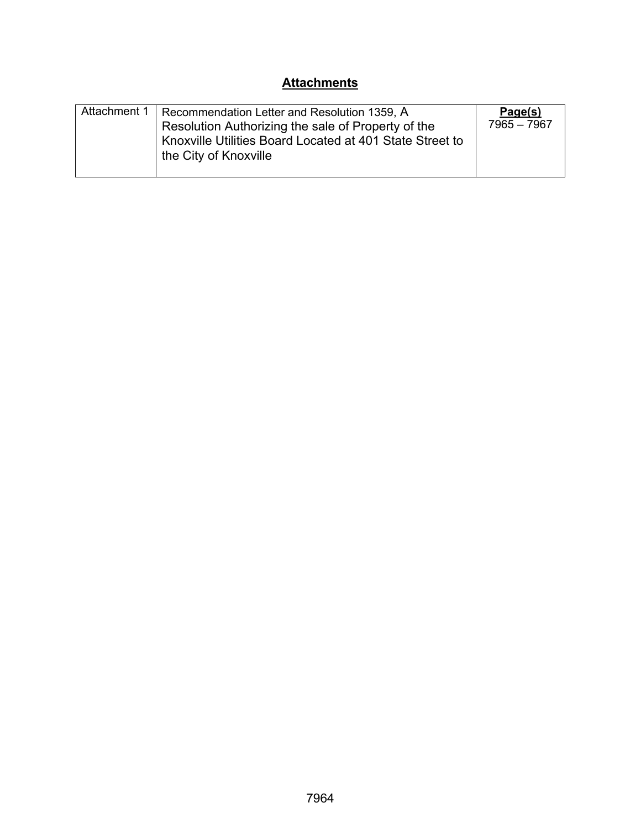# **Attachments**

| Attachment 1 | Recommendation Letter and Resolution 1359, A<br>Resolution Authorizing the sale of Property of the<br>Knoxville Utilities Board Located at 401 State Street to<br>the City of Knoxville | Page(s)<br>7965 - 7967 |
|--------------|-----------------------------------------------------------------------------------------------------------------------------------------------------------------------------------------|------------------------|
|--------------|-----------------------------------------------------------------------------------------------------------------------------------------------------------------------------------------|------------------------|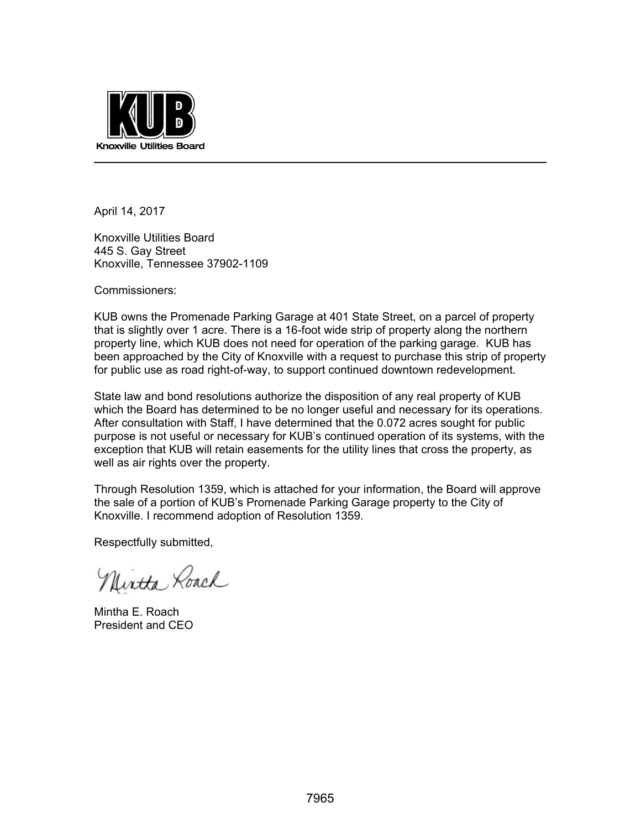

April 14, 2017

Knoxville Utilities Board 445 S. Gay Street Knoxville, Tennessee 37902-1109

Commissioners:

KUB owns the Promenade Parking Garage at 401 State Street, on a parcel of property that is slightly over 1 acre. There is a 16-foot wide strip of property along the northern property line, which KUB does not need for operation of the parking garage. KUB has been approached by the City of Knoxville with a request to purchase this strip of property for public use as road right-of-way, to support continued downtown redevelopment.

State law and bond resolutions authorize the disposition of any real property of KUB which the Board has determined to be no longer useful and necessary for its operations. After consultation with Staff, I have determined that the 0.072 acres sought for public purpose is not useful or necessary for KUB's continued operation of its systems, with the exception that KUB will retain easements for the utility lines that cross the property, as well as air rights over the property.

Through Resolution 1359, which is attached for your information, the Board will approve the sale of a portion of KUB's Promenade Parking Garage property to the City of Knoxville. I recommend adoption of Resolution 1359.

Respectfully submitted,

Nintha Roach

Mintha E. Roach President and CEO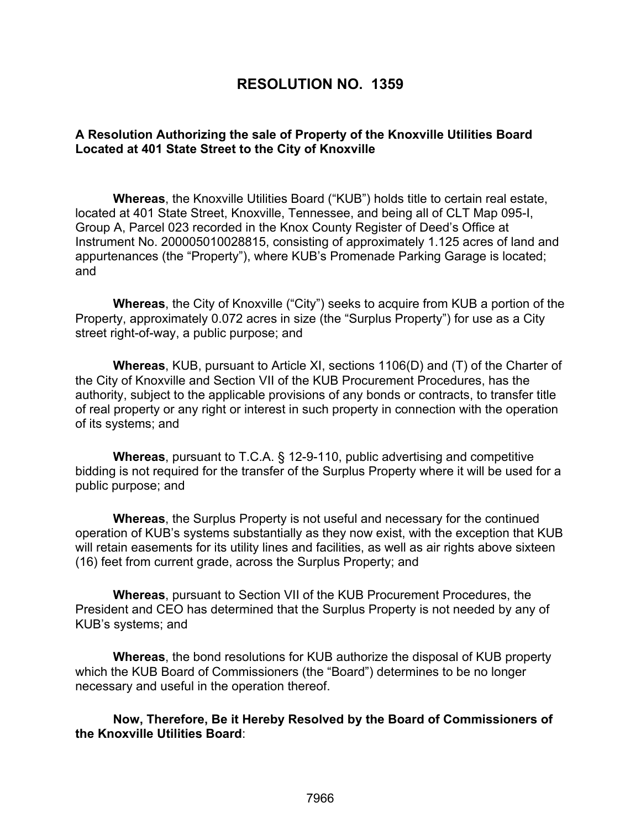## **RESOLUTION NO. 1359**

#### **A Resolution Authorizing the sale of Property of the Knoxville Utilities Board Located at 401 State Street to the City of Knoxville**

**Whereas**, the Knoxville Utilities Board ("KUB") holds title to certain real estate, located at 401 State Street, Knoxville, Tennessee, and being all of CLT Map 095-I, Group A, Parcel 023 recorded in the Knox County Register of Deed's Office at Instrument No. 200005010028815, consisting of approximately 1.125 acres of land and appurtenances (the "Property"), where KUB's Promenade Parking Garage is located; and

**Whereas**, the City of Knoxville ("City") seeks to acquire from KUB a portion of the Property, approximately 0.072 acres in size (the "Surplus Property") for use as a City street right-of-way, a public purpose; and

**Whereas**, KUB, pursuant to Article XI, sections 1106(D) and (T) of the Charter of the City of Knoxville and Section VII of the KUB Procurement Procedures, has the authority, subject to the applicable provisions of any bonds or contracts, to transfer title of real property or any right or interest in such property in connection with the operation of its systems; and

**Whereas**, pursuant to T.C.A. § 12-9-110, public advertising and competitive bidding is not required for the transfer of the Surplus Property where it will be used for a public purpose; and

**Whereas**, the Surplus Property is not useful and necessary for the continued operation of KUB's systems substantially as they now exist, with the exception that KUB will retain easements for its utility lines and facilities, as well as air rights above sixteen (16) feet from current grade, across the Surplus Property; and

**Whereas**, pursuant to Section VII of the KUB Procurement Procedures, the President and CEO has determined that the Surplus Property is not needed by any of KUB's systems; and

**Whereas**, the bond resolutions for KUB authorize the disposal of KUB property which the KUB Board of Commissioners (the "Board") determines to be no longer necessary and useful in the operation thereof.

**Now, Therefore, Be it Hereby Resolved by the Board of Commissioners of the Knoxville Utilities Board**: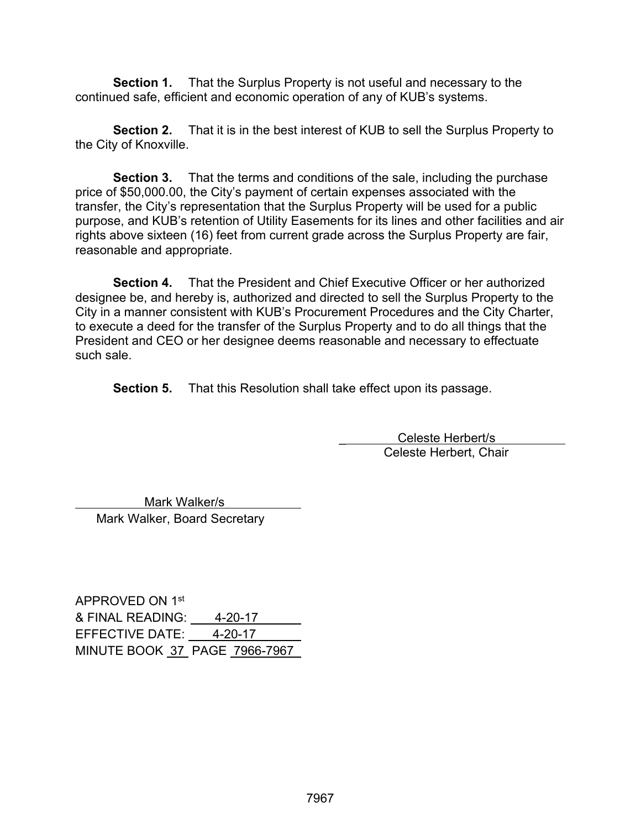**Section 1.** That the Surplus Property is not useful and necessary to the continued safe, efficient and economic operation of any of KUB's systems.

**Section 2.** That it is in the best interest of KUB to sell the Surplus Property to the City of Knoxville.

**Section 3.** That the terms and conditions of the sale, including the purchase price of \$50,000.00, the City's payment of certain expenses associated with the transfer, the City's representation that the Surplus Property will be used for a public purpose, and KUB's retention of Utility Easements for its lines and other facilities and air rights above sixteen (16) feet from current grade across the Surplus Property are fair, reasonable and appropriate.

**Section 4.** That the President and Chief Executive Officer or her authorized designee be, and hereby is, authorized and directed to sell the Surplus Property to the City in a manner consistent with KUB's Procurement Procedures and the City Charter, to execute a deed for the transfer of the Surplus Property and to do all things that the President and CEO or her designee deems reasonable and necessary to effectuate such sale.

**Section 5.** That this Resolution shall take effect upon its passage.

Celeste Herbert/s Celeste Herbert, Chair

 Mark Walker/s Mark Walker, Board Secretary

APPROVED ON 1st & FINAL READING: 4-20-17 EFFECTIVE DATE: 4-20-17 MINUTE BOOK 37 PAGE 7966-7967